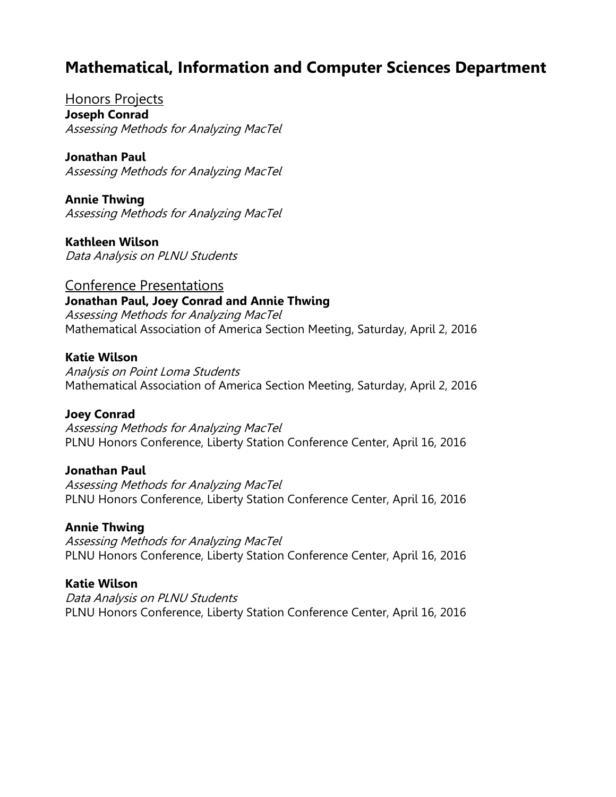# **Mathematical, Information and Computer Sciences Department**

Honors Projects **Joseph Conrad** Assessing Methods for Analyzing MacTel

**Jonathan Paul** Assessing Methods for Analyzing MacTel

**Annie Thwing** Assessing Methods for Analyzing MacTel

**Kathleen Wilson** Data Analysis on PLNU Students

Conference Presentations **Jonathan Paul, Joey Conrad and Annie Thwing** Assessing Methods for Analyzing MacTel Mathematical Association of America Section Meeting, Saturday, April 2, 2016

# **Katie Wilson**

Analysis on Point Loma Students Mathematical Association of America Section Meeting, Saturday, April 2, 2016

# **Joey Conrad**

Assessing Methods for Analyzing MacTel PLNU Honors Conference, Liberty Station Conference Center, April 16, 2016

### **Jonathan Paul**

Assessing Methods for Analyzing MacTel PLNU Honors Conference, Liberty Station Conference Center, April 16, 2016

### **Annie Thwing**

Assessing Methods for Analyzing MacTel PLNU Honors Conference, Liberty Station Conference Center, April 16, 2016

### **Katie Wilson**

Data Analysis on PLNU Students PLNU Honors Conference, Liberty Station Conference Center, April 16, 2016